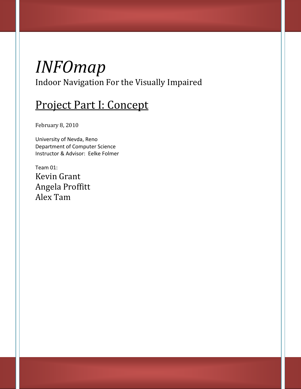# *INFOmap* Indoor Navigation For the Visually Impaired

# Project Part I: Concept

February 8, 2010

University of Nevda, Reno Department of Computer Science Instructor & Advisor: Eelke Folmer

Team 01: Kevin Grant Angela Proffitt Alex Tam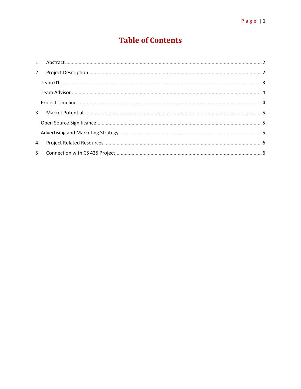# **Table of Contents**

| $2^{\circ}$  |  |
|--------------|--|
|              |  |
|              |  |
|              |  |
| $\mathbf{3}$ |  |
|              |  |
|              |  |
| 4            |  |
|              |  |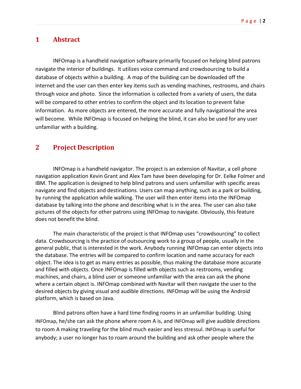### <span id="page-2-0"></span>**1 Abstract**

INFOmap is a handheld navigation software primarily focused on helping blind patrons navigate the interior of buildings. It utilizes voice command and crowdsourcing to build a database of objects within a building. A map of the building can be downloaded off the internet and the user can then enter key items such as vending machines, restrooms, and chairs through voice and photo. Since the information is collected from a variety of users, the data will be compared to other entries to confirm the object and its location to prevent false information. As more objects are entered, the more accurate and fully navigational the area will become. While INFOmap is focused on helping the blind, it can also be used for any user unfamiliar with a building.

### <span id="page-2-1"></span>**2 Project Description**

INFOmap is a handheld navigator. The project is an extension of Navitar, a cell phone navigation application Kevin Grant and Alex Tam have been developing for Dr. Eelke Folmer and IBM. The application is designed to help blind patrons and users unfamiliar with specific areas navigate and find objects and destinations. Users can map anything, such as a park or building, by running the application while walking. The user will then enter items into the INFOmap database by talking into the phone and describing what is in the area. The user can also take pictures of the objects for other patrons using INFOmap to navigate. Obviously, this feature does not benefit the blind.

The main characteristic of the project is that INFOmap uses "crowdsourcing" to collect data. Crowdsourcing is the practice of outsourcing work to a group of people, usually in the general public, that is interested in the work. Anybody running INFOmap can enter objects into the database. The entries will be compared to confirm location and name accuracy for each object. The idea is to get as many entries as possible, thus making the database more accurate and filled with objects. Once INFOmap is filled with objects such as restrooms, vending machines, and chairs, a blind user or someone unfamiliar with the area can ask the phone where a certain object is. INFOmap combined with Navitar will then navigate the user to the desired objects by giving visual and audible directions. INFOmap will be using the Android platform, which is based on Java.

Blind patrons often have a hard time finding rooms in an unfamiliar building. Using INFOmap, he/she can ask the phone where room A is, and INFOmap will give audible directions to room A making traveling for the blind much easier and less stressul. INFOmap is useful for anybody; a user no longer has to roam around the building and ask other people where the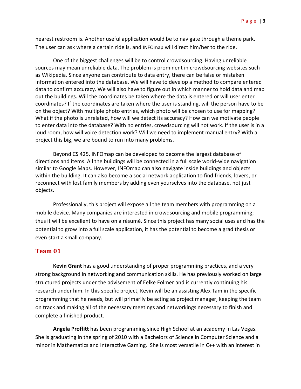nearest restroom is. Another useful application would be to navigate through a theme park. The user can ask where a certain ride is, and INFOmap will direct him/her to the ride.

One of the biggest challenges will be to control crowdsourcing. Having unreliable sources may mean unreliable data. The problem is prominent in crowdsourcing websites such as Wikipedia. Since anyone can contribute to data entry, there can be false or mistaken information entered into the database. We will have to develop a method to compare entered data to confirm accuracy. We will also have to figure out in which manner to hold data and map out the buildings. Will the coordinates be taken where the data is entered or will user enter coordinates? If the coordinates are taken where the user is standing, will the person have to be on the object? With multiple photo entries, which photo will be chosen to use for mapping? What if the photo is unrelated, how will we detect its accuracy? How can we motivate people to enter data into the database? With no entries, crowdsourcing will not work. If the user is in a loud room, how will voice detection work? Will we need to implement manual entry? With a project this big, we are bound to run into many problems.

Beyond CS 425, INFOmap can be developed to become the largest database of directions and items. All the buildings will be connected in a full scale world-wide navigation similar to Google Maps. However, INFOmap can also navigate inside buildings and objects within the building. It can also become a social network application to find friends, lovers, or reconnect with lost family members by adding even yourselves into the database, not just objects.

Professionally, this project will expose all the team members with programming on a mobile device. Many companies are interested in crowdsourcing and mobile programming; thus it will be excellent to have on a résumé. Since this project has many social uses and has the potential to grow into a full scale application, it has the potential to become a grad thesis or even start a small company.

#### <span id="page-3-0"></span>**Team 01**

**Kevin Grant** has a good understanding of proper programming practices, and a very strong background in networking and communication skills. He has previously worked on large structured projects under the advisement of Eelke Folmer and is currently continuing his research under him. In this specific project, Kevin will be an assisting Alex Tam in the specific programming that he needs, but will primarily be acting as project manager, keeping the team on track and making all of the necessary meetings and networkings necessary to finish and complete a finished product.

**Angela Proffitt** has been programming since High School at an academy in Las Vegas. She is graduating in the spring of 2010 with a Bachelors of Science in Computer Science and a minor in Mathematics and Interactive Gaming. She is most versatile in C++ with an interest in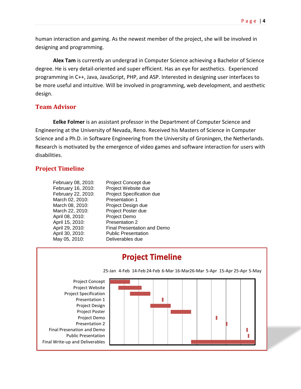human interaction and gaming. As the newest member of the project, she will be involved in designing and programming.

**Alex Tam** is currently an undergrad in Computer Science achieving a Bachelor of Science degree. He is very detail-oriented and super efficient. Has an eye for aesthetics. Experienced programming in C++, Java, JavaScript, PHP, and ASP. Interested in designing user interfaces to be more useful and intuitive. Will be involved in programming, web development, and aesthetic design.

#### <span id="page-4-0"></span>**Team Advisor**

**Eelke Folmer** is an assistant professor in the Department of Computer Science and Engineering at the University of Nevada, Reno. Received his Masters of Science in Computer Science and a Ph.D. in Software Engineering from the University of Groningen, the Netherlands. Research is motivated by the emergence of video games and software interaction for users with disabilities.

#### <span id="page-4-1"></span>**Project Timeline**

| February 08, 2010: | Project Concept due         |
|--------------------|-----------------------------|
| February 16, 2010: | Project Website due         |
| February 22, 2010: | Project Specification due   |
| March 02, 2010:    | <b>Presentation 1</b>       |
| March 08, 2010:    | Project Design due          |
| March 22, 2010:    | Project Poster due          |
| April 08, 2010:    | Project Demo                |
| April 15, 2010:    | <b>Presentation 2</b>       |
| April 29, 2010:    | Final Presentation and Demo |
| April 30, 2010:    | <b>Public Presentation</b>  |
| May 05, 2010:      | Deliverables due            |
|                    |                             |

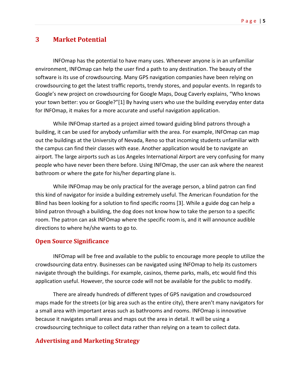# <span id="page-5-0"></span>**3 Market Potential**

INFOmap has the potential to have many uses. Whenever anyone is in an unfamiliar environment, INFOmap can help the user find a path to any destination. The beauty of the software is its use of crowdsourcing. Many GPS navigation companies have been relying on crowdsourcing to get the latest traffic reports, trendy stores, and popular events. In regards to Google's new project on crowdsourcing for Google Maps, Doug Caverly explains, "Who knows your town better: you or Google?"[1] By having users who use the building everyday enter data for INFOmap, it makes for a more accurate and useful navigation application.

While INFOmap started as a project aimed toward guiding blind patrons through a building, it can be used for anybody unfamiliar with the area. For example, INFOmap can map out the buildings at the University of Nevada, Reno so that incoming students unfamiliar with the campus can find their classes with ease. Another application would be to navigate an airport. The large airports such as Los Angeles International Airport are very confusing for many people who have never been there before. Using INFOmap, the user can ask where the nearest bathroom or where the gate for his/her departing plane is.

While INFOmap may be only practical for the average person, a blind patron can find this kind of navigator for inside a building extremely useful. The American Foundation for the Blind has been looking for a solution to find specific rooms [3]. While a guide dog can help a blind patron through a building, the dog does not know how to take the person to a specific room. The patron can ask INFOmap where the specific room is, and it will announce audible directions to where he/she wants to go to.

#### <span id="page-5-1"></span>**Open Source Significance**

INFOmap will be free and available to the public to encourage more people to utilize the crowdsourcing data entry. Businesses can be navigated using INFOmap to help its customers navigate through the buildings. For example, casinos, theme parks, malls, etc would find this application useful. However, the source code will not be available for the public to modify.

There are already hundreds of different types of GPS navigation and crowdsourced maps made for the streets (or big area such as the entire city), there aren't many navigators for a small area with important areas such as bathrooms and rooms. INFOmap is innovative because it navigates small areas and maps out the area in detail. It will be using a crowdsourcing technique to collect data rather than relying on a team to collect data.

#### <span id="page-5-2"></span>**Advertising and Marketing Strategy**